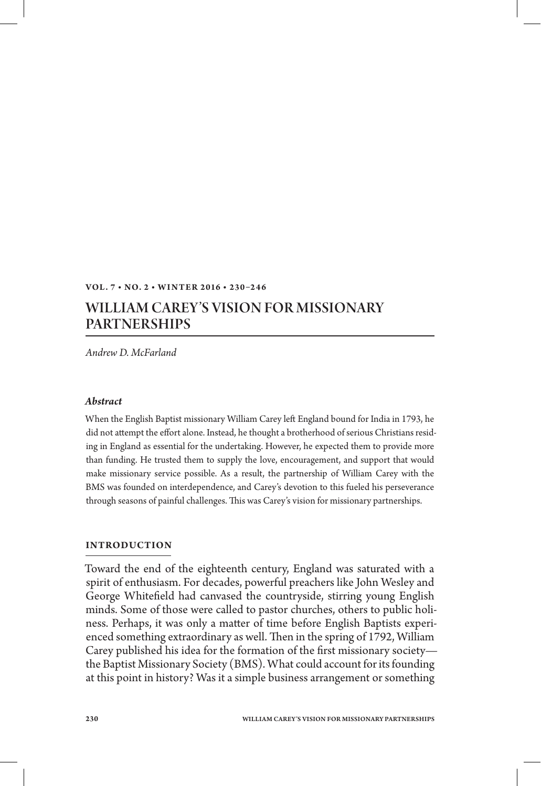### **VOL. 7 • NO. 2 • WINT ER 2 016 • 230 –2 4 6**

# WILLIAM CAREY'S VISION FOR MISSIONARY PARTNERSHIPS

*Andrew D. McFarland*

#### *Abstract*

When the English Baptist missionary William Carey le England bound for India in 1793, he did not attempt the effort alone. Instead, he thought a brotherhood of serious Christians residing in England as essential for the undertaking. However, he expected them to provide more than funding. He trusted them to supply the love, encouragement, and support that would make missionary service possible. As a result, the partnership of William Carey with the BMS was founded on interdependence, and Carey's devotion to this fueled his perseverance through seasons of painful challenges. This was Carey's vision for missionary partnerships.

### **INTRODUCTION**

Toward the end of the eighteenth century, England was saturated with a spirit of enthusiasm. For decades, powerful preachers like John Wesley and George Whitefield had canvased the countryside, stirring young English minds. Some of those were called to pastor churches, others to public holiness. Perhaps, it was only a matter of time before English Baptists experienced something extraordinary as well. Then in the spring of 1792, William Carey published his idea for the formation of the first missionary societythe Baptist Missionary Society (BMS). What could account for its founding at this point in history? Was it a simple business arrangement or something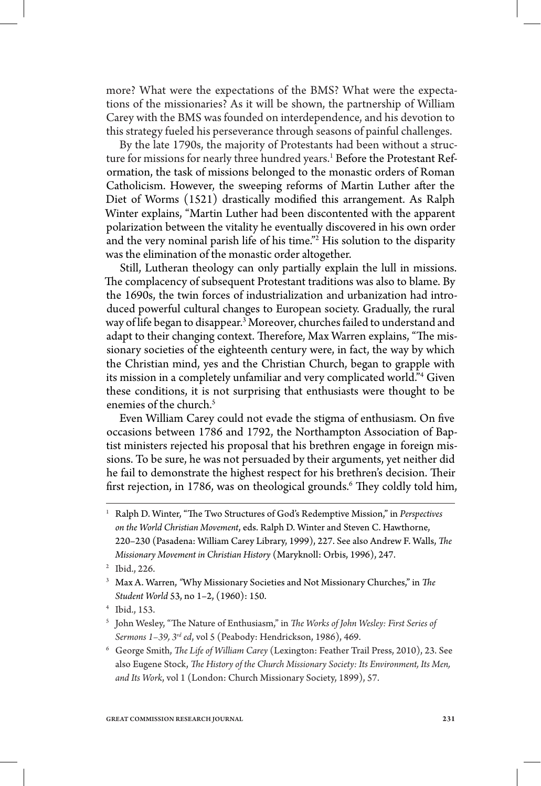more? What were the expectations of the BMS? What were the expectations of the missionaries? As it will be shown, the partnership of William Carey with the BMS was founded on interdependence, and his devotion to this strategy fueled his perseverance through seasons of painful challenges.

By the late 1790s, the majority of Protestants had been without a structure for missions for nearly three hundred years.<sup>1</sup> Before the Protestant Reformation, the task of missions belonged to the monastic orders of Roman Catholicism. However, the sweeping reforms of Martin Luther after the Diet of Worms (1521) drastically modified this arrangement. As Ralph Winter explains, "Martin Luther had been discontented with the apparent polarization between the vitality he eventually discovered in his own order and the very nominal parish life of his time."2 His solution to the disparity was the elimination of the monastic order altogether.

Still, Lutheran theology can only partially explain the lull in missions. The complacency of subsequent Protestant traditions was also to blame. By the 1690s, the twin forces of industrialization and urbanization had introduced powerful cultural changes to European society. Gradually, the rural way of life began to disappear.3 Moreover, churches failed to understand and adapt to their changing context. Therefore, Max Warren explains, "The missionary societies of the eighteenth century were, in fact, the way by which the Christian mind, yes and the Christian Church, began to grapple with its mission in a completely unfamiliar and very complicated world."4 Given these conditions, it is not surprising that enthusiasts were thought to be enemies of the church.<sup>5</sup>

Even William Carey could not evade the stigma of enthusiasm. On five occasions between 1786 and 1792, the Northampton Association of Baptist ministers rejected his proposal that his brethren engage in foreign missions. To be sure, he was not persuaded by their arguments, yet neither did he fail to demonstrate the highest respect for his brethren's decision. Their first rejection, in 1786, was on theological grounds.<sup>6</sup> They coldly told him,

<sup>6</sup> George Smith, *The Life of William Carey* (Lexington: Feather Trail Press, 2010), 23. See also Eugene Stock, *The History of the Church Missionary Society: Its Environment, Its Men, and Its Work*, vol 1 (London: Church Missionary Society, 1899), 57.

<sup>&</sup>lt;sup>1</sup> Ralph D. Winter, "The Two Structures of God's Redemptive Mission," in *Perspectives on the World Christian Movement*, eds. Ralph D. Winter and Steven C. Hawthorne, 220-230 (Pasadena: William Carey Library, 1999), 227. See also Andrew F. Walls, *The Missionary Movement in Christian History* (Maryknoll: Orbis, 1996), 247.

<sup>2</sup> Ibid., 226.

<sup>&</sup>lt;sup>3</sup> Max A. Warren, "Why Missionary Societies and Not Missionary Churches," in *The Student World* 53, no 1–2, (1960): 150.

<sup>4</sup> Ibid., 153.

 $^{\rm 5}$  John Wesley, "The Nature of Enthusiasm," in *The Works of John Wesley: First Series of Sermons 1–39, 3rd ed*, vol 5 (Peabody: Hendrickson, 1986), 469.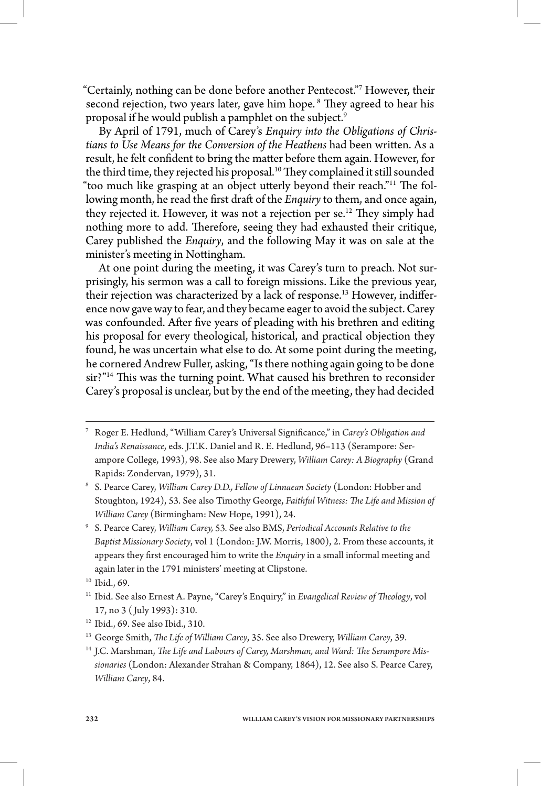"Certainly, nothing can be done before another Pentecost."7 However, their second rejection, two years later, gave him hope.<sup>8</sup> They agreed to hear his proposal if he would publish a pamphlet on the subject.<sup>9</sup>

By April of 1791, much of Carey's *Enquiry into the Obligations of Christians to Use Means for the Conversion of the Heathens* had been written. As a result, he felt confident to bring the matter before them again. However, for the third time, they rejected his proposal.<sup>10</sup> They complained it still sounded "too much like grasping at an object utterly beyond their reach."<sup>11</sup> The following month, he read the first draft of the *Enquiry* to them, and once again, they rejected it. However, it was not a rejection per se.<sup>12</sup> They simply had nothing more to add. Therefore, seeing they had exhausted their critique, Carey published the *Enquiry*, and the following May it was on sale at the minister's meeting in Nottingham.

At one point during the meeting, it was Carey's turn to preach. Not surprisingly, his sermon was a call to foreign missions. Like the previous year, their rejection was characterized by a lack of response.<sup>13</sup> However, indifference now gave way to fear, and they became eager to avoid the subject. Carey was confounded. After five years of pleading with his brethren and editing his proposal for every theological, historical, and practical objection they found, he was uncertain what else to do. At some point during the meeting, he cornered Andrew Fuller, asking, "Is there nothing again going to be done sir?"<sup>14</sup> This was the turning point. What caused his brethren to reconsider Carey's proposal is unclear, but by the end of the meeting, they had decided

<sup>7</sup> Roger E. Hedlund, "William Carey's Universal Signicance," in *Carey's Obligation and India's Renaissance*, eds. J.T.K. Daniel and R. E. Hedlund, 96–113 (Serampore: Serampore College, 1993), 98. See also Mary Drewery, *William Carey: A Biography* (Grand Rapids: Zondervan, 1979), 31.

<sup>8</sup> S. Pearce Carey, *William Carey D.D., Fellow of Linnaean Society* (London: Hobber and Stoughton, 1924), 53. See also Timothy George, Faithful Witness: The Life and Mission of *William Carey* (Birmingham: New Hope, 1991), 24.

<sup>9</sup> S. Pearce Carey, *William Carey,* 53*.* See also BMS, *Periodical Accounts Relative to the Baptist Missionary Society*, vol 1 (London: J.W. Morris, 1800), 2. From these accounts, it appears they first encouraged him to write the *Enquiry* in a small informal meeting and again later in the 1791 ministers' meeting at Clipstone.

<sup>10</sup> Ibid., 69.

<sup>&</sup>lt;sup>11</sup> Ibid. See also Ernest A. Payne, "Carey's Enquiry," in *Evangelical Review of Theology*, vol 17, no 3 ( July 1993): 310.

<sup>12</sup> Ibid., 69. See also Ibid., 310.

<sup>&</sup>lt;sup>13</sup> George Smith, *The Life of William Carey*, 35. See also Drewery, *William Carey*, 39.

<sup>&</sup>lt;sup>14</sup> J.C. Marshman, *The Life and Labours of Carey, Marshman, and Ward: The Serampore Missionaries* (London: Alexander Strahan & Company, 1864), 12. See also S. Pearce Carey, *William Carey*, 84.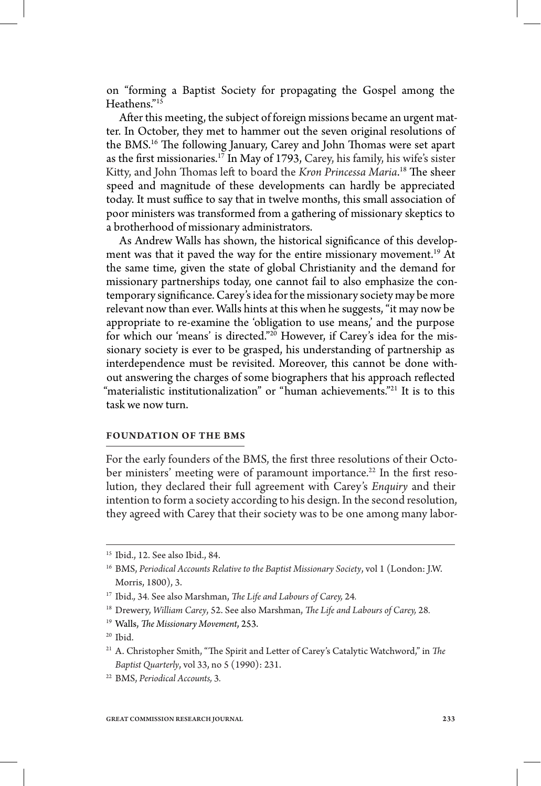on "forming a Baptist Society for propagating the Gospel among the Heathens."15

After this meeting, the subject of foreign missions became an urgent matter. In October, they met to hammer out the seven original resolutions of the BMS.<sup>16</sup> The following January, Carey and John Thomas were set apart as the first missionaries.<sup>17</sup> In May of 1793, Carey, his family, his wife's sister Kitty, and John Thomas left to board the *Kron Princessa Maria*.<sup>18</sup> The sheer speed and magnitude of these developments can hardly be appreciated today. It must suffice to say that in twelve months, this small association of poor ministers was transformed from a gathering of missionary skeptics to a brotherhood of missionary administrators.

As Andrew Walls has shown, the historical significance of this development was that it paved the way for the entire missionary movement.<sup>19</sup> At the same time, given the state of global Christianity and the demand for missionary partnerships today, one cannot fail to also emphasize the contemporary significance. Carey's idea for the missionary society may be more relevant now than ever. Walls hints at this when he suggests, "it may now be appropriate to re-examine the 'obligation to use means,' and the purpose for which our 'means' is directed."<sup>20</sup> However, if Carey's idea for the missionary society is ever to be grasped, his understanding of partnership as interdependence must be revisited. Moreover, this cannot be done without answering the charges of some biographers that his approach reflected "materialistic institutionalization" or "human achievements."<sup>21</sup> It is to this task we now turn.

### **FOUNDATION OF THE BMS**

For the early founders of the BMS, the first three resolutions of their October ministers' meeting were of paramount importance.<sup>22</sup> In the first resolution, they declared their full agreement with Carey's *Enquiry* and their intention to form a society according to his design. In the second resolution, they agreed with Carey that their society was to be one among many labor-

<sup>15</sup> Ibid., 12. See also Ibid., 84.

<sup>16</sup> BMS, *Periodical Accounts Relative to the Baptist Missionary Society*, vol 1 (London: J.W. Morris, 1800), 3.

<sup>&</sup>lt;sup>17</sup> Ibid., 34. See also Marshman, *The Life and Labours of Carey*, 24.

<sup>&</sup>lt;sup>18</sup> Drewery, *William Carey*, 52. See also Marshman, *The Life and Labours of Carey*, 28.

<sup>&</sup>lt;sup>19</sup> Walls, *The Missionary Movement*, 253.

 $20$  Ibid.

<sup>&</sup>lt;sup>21</sup> A. Christopher Smith, "The Spirit and Letter of Carey's Catalytic Watchword," in *The Baptist Quarterly*, vol 33, no 5 (1990): 231.

<sup>22</sup> BMS, *Periodical Accounts,* 3*.*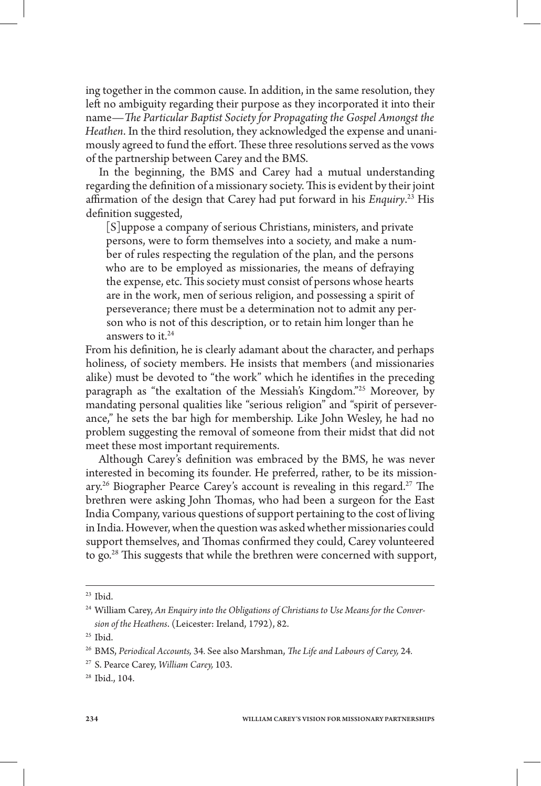ing together in the common cause. In addition, in the same resolution, they left no ambiguity regarding their purpose as they incorporated it into their name—*The Particular Baptist Society for Propagating the Gospel Amongst the Heathen*. In the third resolution, they acknowledged the expense and unanimously agreed to fund the effort. These three resolutions served as the vows of the partnership between Carey and the BMS.

In the beginning, the BMS and Carey had a mutual understanding regarding the definition of a missionary society. This is evident by their joint affirmation of the design that Carey had put forward in his *Enquiry*.<sup>23</sup> His definition suggested,

[S]uppose a company of serious Christians, ministers, and private persons, were to form themselves into a society, and make a number of rules respecting the regulation of the plan, and the persons who are to be employed as missionaries, the means of defraying the expense, etc. This society must consist of persons whose hearts are in the work, men of serious religion, and possessing a spirit of perseverance; there must be a determination not to admit any person who is not of this description, or to retain him longer than he answers to it. $24$ 

From his definition, he is clearly adamant about the character, and perhaps holiness, of society members. He insists that members (and missionaries alike) must be devoted to "the work" which he identifies in the preceding paragraph as "the exaltation of the Messiah's Kingdom."25 Moreover, by mandating personal qualities like "serious religion" and "spirit of perseverance," he sets the bar high for membership. Like John Wesley, he had no problem suggesting the removal of someone from their midst that did not meet these most important requirements.

Although Carey's definition was embraced by the BMS, he was never interested in becoming its founder. He preferred, rather, to be its missionary.<sup>26</sup> Biographer Pearce Carey's account is revealing in this regard.<sup>27</sup> The brethren were asking John Thomas, who had been a surgeon for the East India Company, various questions of support pertaining to the cost of living in India. However, when the question was asked whether missionaries could support themselves, and Thomas confirmed they could, Carey volunteered to go.<sup>28</sup> This suggests that while the brethren were concerned with support,

28 Ibid., 104.

<sup>23</sup> Ibid.

<sup>24</sup> William Carey, *An Enquiry into the Obligations of Christians to Use Means for the Conversion of the Heathens*. (Leicester: Ireland, 1792), 82.

 $25$  Ibid.

<sup>&</sup>lt;sup>26</sup> BMS, Periodical Accounts, 34. See also Marshman, *The Life and Labours of Carey*, 24.

<sup>27</sup> S. Pearce Carey, *William Carey,* 103.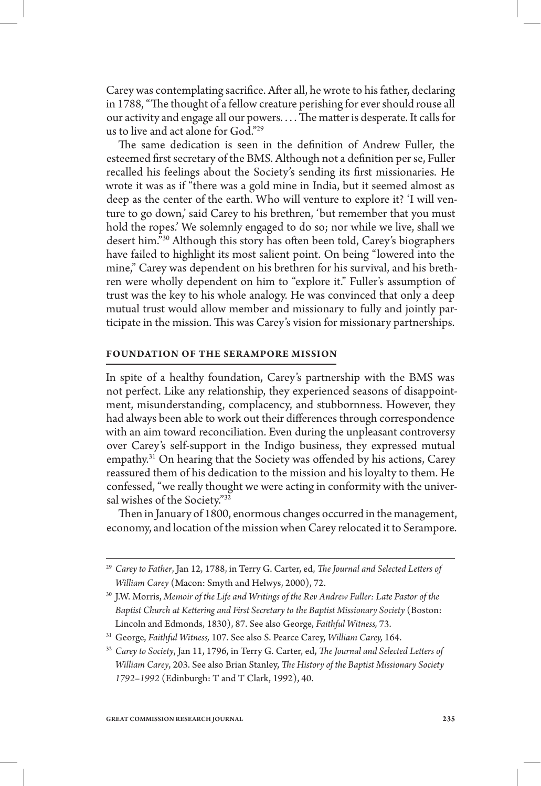Carey was contemplating sacrifice. After all, he wrote to his father, declaring in 1788, "The thought of a fellow creature perishing for ever should rouse all our activity and engage all our powers.... The matter is desperate. It calls for us to live and act alone for God."29

The same dedication is seen in the definition of Andrew Fuller, the esteemed first secretary of the BMS. Although not a definition per se, Fuller recalled his feelings about the Society's sending its first missionaries. He wrote it was as if "there was a gold mine in India, but it seemed almost as deep as the center of the earth. Who will venture to explore it? 'I will venture to go down,' said Carey to his brethren, 'but remember that you must hold the ropes.' We solemnly engaged to do so; nor while we live, shall we desert him."<sup>30</sup> Although this story has often been told, Carey's biographers have failed to highlight its most salient point. On being "lowered into the mine," Carey was dependent on his brethren for his survival, and his brethren were wholly dependent on him to "explore it." Fuller's assumption of trust was the key to his whole analogy. He was convinced that only a deep mutual trust would allow member and missionary to fully and jointly participate in the mission. This was Carey's vision for missionary partnerships.

#### **FOUNDATION OF THE SERAMPORE MISSION**

In spite of a healthy foundation, Carey's partnership with the BMS was not perfect. Like any relationship, they experienced seasons of disappointment, misunderstanding, complacency, and stubbornness. However, they had always been able to work out their differences through correspondence with an aim toward reconciliation. Even during the unpleasant controversy over Carey's self-support in the Indigo business, they expressed mutual empathy.<sup>31</sup> On hearing that the Society was offended by his actions, Carey reassured them of his dedication to the mission and his loyalty to them. He confessed, "we really thought we were acting in conformity with the universal wishes of the Society."32

Then in January of 1800, enormous changes occurred in the management, economy, and location of the mission when Carey relocated it to Serampore.

<sup>&</sup>lt;sup>29</sup> Carey to Father, Jan 12, 1788, in Terry G. Carter, ed, *The Journal and Selected Letters of William Carey* (Macon: Smyth and Helwys, 2000), 72.

<sup>30</sup> J.W. Morris, *Memoir of the Life and Writings of the Rev Andrew Fuller: Late Pastor of the*  Baptist Church at Kettering and First Secretary to the Baptist Missionary Society (Boston: Lincoln and Edmonds, 1830), 87. See also George, *Faithful Witness,* 73.

<sup>31</sup> George, *Faithful Witness,* 107. See also S. Pearce Carey, *William Carey,* 164.

<sup>&</sup>lt;sup>32</sup> Carey to Society, Jan 11, 1796, in Terry G. Carter, ed, *The Journal and Selected Letters of William Carey,* 203. See also Brian Stanley, *The History of the Baptist Missionary Society 1792–1992* (Edinburgh: T and T Clark, 1992), 40.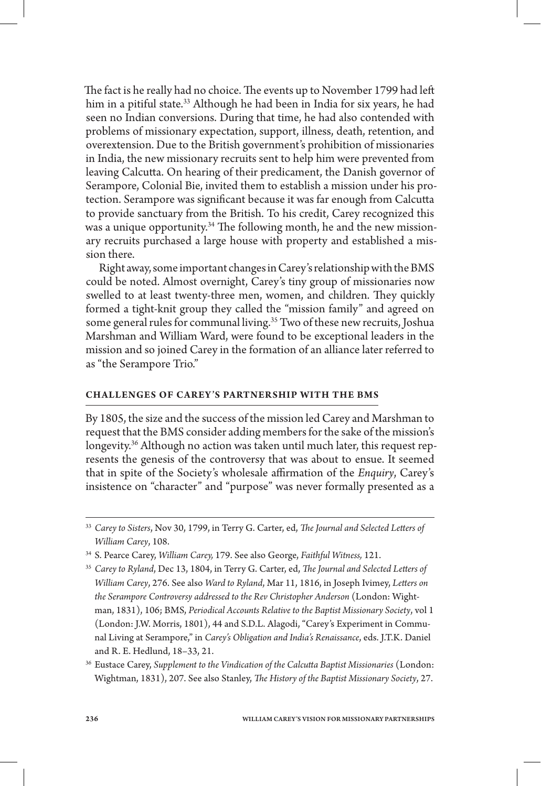The fact is he really had no choice. The events up to November 1799 had left him in a pitiful state.<sup>33</sup> Although he had been in India for six years, he had seen no Indian conversions. During that time, he had also contended with problems of missionary expectation, support, illness, death, retention, and overextension. Due to the British government's prohibition of missionaries in India, the new missionary recruits sent to help him were prevented from leaving Calcutta. On hearing of their predicament, the Danish governor of Serampore, Colonial Bie, invited them to establish a mission under his protection. Serampore was significant because it was far enough from Calcutta to provide sanctuary from the British. To his credit, Carey recognized this was a unique opportunity.<sup>34</sup> The following month, he and the new missionary recruits purchased a large house with property and established a mission there.

Right away, some important changes in Carey's relationship with the BMS could be noted. Almost overnight, Carey's tiny group of missionaries now swelled to at least twenty-three men, women, and children. They quickly formed a tight-knit group they called the "mission family" and agreed on some general rules for communal living.<sup>35</sup> Two of these new recruits, Joshua Marshman and William Ward, were found to be exceptional leaders in the mission and so joined Carey in the formation of an alliance later referred to as "the Serampore Trio."

### **CHALLENGES OF CAREY'S PARTNERSHIP WITH THE BMS**

By 1805, the size and the success of the mission led Carey and Marshman to request that the BMS consider adding members for the sake of the mission's longevity.<sup>36</sup> Although no action was taken until much later, this request represents the genesis of the controversy that was about to ensue. It seemed that in spite of the Society's wholesale affirmation of the *Enquiry*, Carey's insistence on "character" and "purpose" was never formally presented as a

<sup>&</sup>lt;sup>33</sup> Carey to Sisters, Nov 30, 1799, in Terry G. Carter, ed, *The Journal and Selected Letters of William Carey*, 108.

<sup>34</sup> S. Pearce Carey, *William Carey,* 179. See also George, *Faithful Witness,* 121.

<sup>&</sup>lt;sup>35</sup> Carey to Ryland, Dec 13, 1804, in Terry G. Carter, ed, *The Journal and Selected Letters of William Carey, 276. See also Ward to Ryland, Mar 11, 1816, in Joseph Ivimey, Letters on the Serampore Controversy addressed to the Rev Christopher Anderson* (London: Wightman, 1831), 106; BMS, *Periodical Accounts Relative to the Baptist Missionary Society*, vol 1 (London: J.W. Morris, 1801), 44 and S.D.L. Alagodi, "Carey's Experiment in Communal Living at Serampore," in *Carey's Obligation and India's Renaissance*, eds. J.T.K. Daniel and R. E. Hedlund, 18–33, 21.

<sup>&</sup>lt;sup>36</sup> Eustace Carey, Supplement to the Vindication of the Calcutta Baptist Missionaries (London: Wightman, 1831), 207. See also Stanley, *The History of the Baptist Missionary Society*, 27.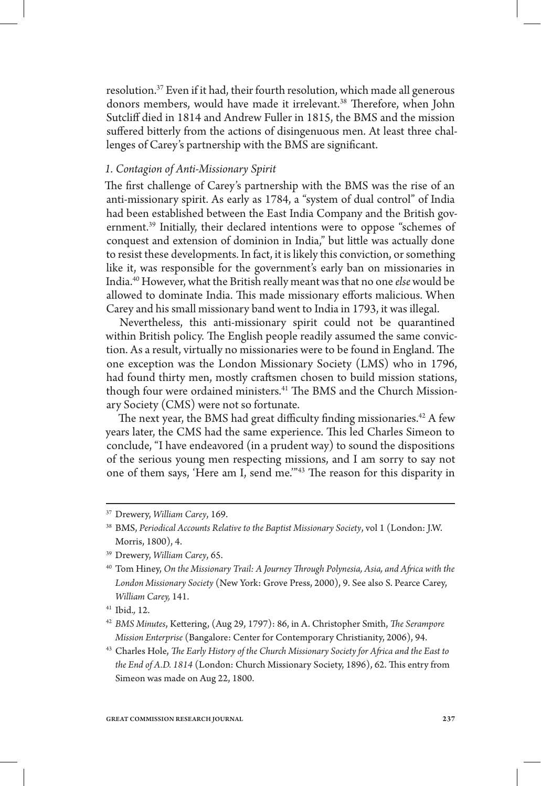resolution.37 Even if it had, their fourth resolution, which made all generous donors members, would have made it irrelevant.<sup>38</sup> Therefore, when John Sutcliff died in 1814 and Andrew Fuller in 1815, the BMS and the mission suffered bitterly from the actions of disingenuous men. At least three challenges of Carey's partnership with the BMS are significant.

# *1. Contagion of Anti-Missionary Spirit*

The first challenge of Carey's partnership with the BMS was the rise of an anti-missionary spirit. As early as 1784, a "system of dual control" of India had been established between the East India Company and the British government.<sup>39</sup> Initially, their declared intentions were to oppose "schemes of conquest and extension of dominion in India," but little was actually done to resist these developments. In fact, it is likely this conviction, or something like it, was responsible for the government's early ban on missionaries in India.40 However, what the British really meant was that no one *else* would be allowed to dominate India. This made missionary efforts malicious. When Carey and his small missionary band went to India in 1793, it was illegal.

Nevertheless, this anti-missionary spirit could not be quarantined within British policy. The English people readily assumed the same conviction. As a result, virtually no missionaries were to be found in England. The one exception was the London Missionary Society (LMS) who in 1796, had found thirty men, mostly craftsmen chosen to build mission stations, though four were ordained ministers.<sup>41</sup> The BMS and the Church Missionary Society (CMS) were not so fortunate.

The next year, the BMS had great difficulty finding missionaries.<sup>42</sup> A few years later, the CMS had the same experience. This led Charles Simeon to conclude, "I have endeavored (in a prudent way) to sound the dispositions of the serious young men respecting missions, and I am sorry to say not one of them says, 'Here am I, send me."<sup>43</sup> The reason for this disparity in

<sup>37</sup> Drewery, *William Carey*, 169.

<sup>38</sup> BMS, *Periodical Accounts Relative to the Baptist Missionary Society*, vol 1 (London: J.W. Morris, 1800), 4.

<sup>39</sup> Drewery, *William Carey*, 65.

<sup>&</sup>lt;sup>40</sup> Tom Hiney, *On the Missionary Trail: A Journey Through Polynesia, Asia, and Africa with the London Missionary Society* (New York: Grove Press, 2000), 9. See also S. Pearce Carey, *William Carey,* 141.

<sup>41</sup> Ibid.*,* 12.

<sup>&</sup>lt;sup>42</sup> BMS Minutes, Kettering, (Aug 29, 1797): 86, in A. Christopher Smith, *The Serampore Mission Enterprise* (Bangalore: Center for Contemporary Christianity, 2006), 94.

<sup>&</sup>lt;sup>43</sup> Charles Hole, *The Early History of the Church Missionary Society for Africa and the East to* the End of A.D. 1814 (London: Church Missionary Society, 1896), 62. This entry from Simeon was made on Aug 22, 1800.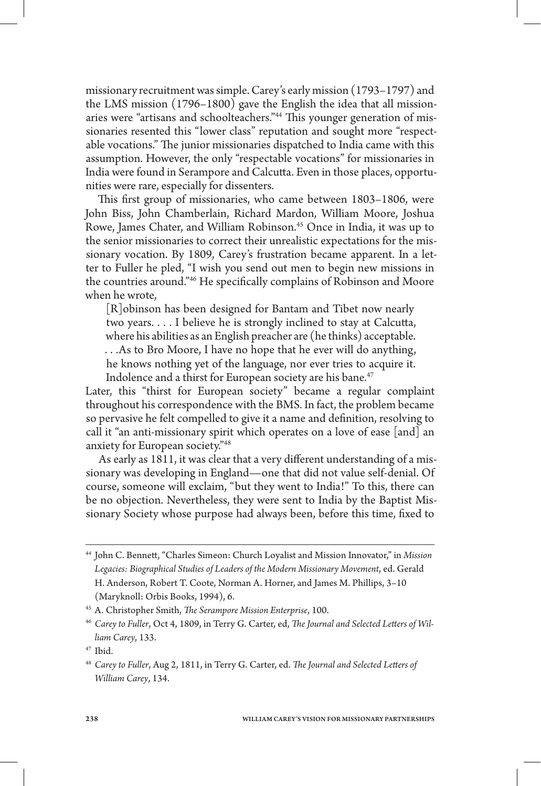missionary recruitment was simple. Carey's early mission (1793–1797) and the LMS mission (1796–1800) gave the English the idea that all missionaries were "artisans and schoolteachers."<sup>44</sup> This younger generation of missionaries resented this "lower class" reputation and sought more "respectable vocations." The junior missionaries dispatched to India came with this assumption. However, the only "respectable vocations" for missionaries in India were found in Serampore and Calcutta. Even in those places, opportunities were rare, especially for dissenters.

This first group of missionaries, who came between 1803–1806, were John Biss, John Chamberlain, Richard Mardon, William Moore, Joshua Rowe, James Chater, and William Robinson.45 Once in India, it was up to the senior missionaries to correct their unrealistic expectations for the missionary vocation. By 1809, Carey's frustration became apparent. In a letter to Fuller he pled, "I wish you send out men to begin new missions in the countries around."<sup>46</sup> He specifically complains of Robinson and Moore when he wrote,

[R]obinson has been designed for Bantam and Tibet now nearly two years. . . . I believe he is strongly inclined to stay at Calcutta, where his abilities as an English preacher are (he thinks) acceptable. . . .As to Bro Moore, I have no hope that he ever will do anything, he knows nothing yet of the language, nor ever tries to acquire it. Indolence and a thirst for European society are his bane.<sup>47</sup>

Later, this "thirst for European society" became a regular complaint throughout his correspondence with the BMS. In fact, the problem became so pervasive he felt compelled to give it a name and definition, resolving to call it "an anti-missionary spirit which operates on a love of ease [and] an anxiety for European society."48

As early as 1811, it was clear that a very different understanding of a missionary was developing in England—one that did not value self-denial. Of course, someone will exclaim, "but they went to India!" To this, there can be no objection. Nevertheless, they were sent to India by the Baptist Missionary Society whose purpose had always been, before this time, fixed to

<sup>&</sup>lt;sup>44</sup> John C. Bennett, "Charles Simeon: Church Loyalist and Mission Innovator," in Mission *Legacies: Biographical Studies of Leaders of the Modern Missionary Movement*, ed. Gerald H. Anderson, Robert T. Coote, Norman A. Horner, and James M. Phillips, 3–10 (Maryknoll: Orbis Books, 1994), 6.

<sup>&</sup>lt;sup>45</sup> A. Christopher Smith, *The Serampore Mission Enterprise*, 100.

<sup>&</sup>lt;sup>46</sup> Carey to Fuller, Oct 4, 1809, in Terry G. Carter, ed, The Journal and Selected Letters of Wil*liam Carey*, 133.

<sup>47</sup> Ibid.

<sup>&</sup>lt;sup>48</sup> Carey to Fuller, Aug 2, 1811, in Terry G. Carter, ed. *The Journal and Selected Letters of William Carey*, 134.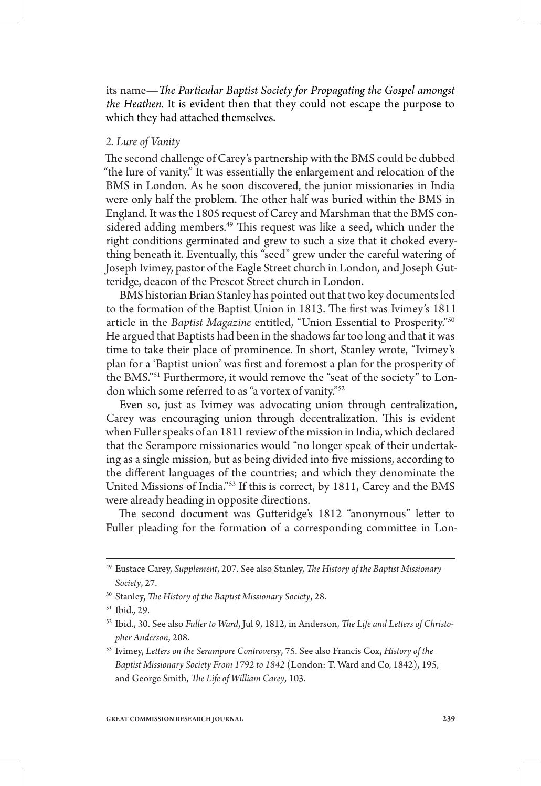its name—*The Particular Baptist Society for Propagating the Gospel amongst the Heathen.* It is evident then that they could not escape the purpose to which they had attached themselves.

# *2. Lure of Vanity*

The second challenge of Carey's partnership with the BMS could be dubbed "the lure of vanity." It was essentially the enlargement and relocation of the BMS in London. As he soon discovered, the junior missionaries in India were only half the problem. The other half was buried within the BMS in England. It was the 1805 request of Carey and Marshman that the BMS considered adding members.<sup>49</sup> This request was like a seed, which under the right conditions germinated and grew to such a size that it choked everything beneath it. Eventually, this "seed" grew under the careful watering of Joseph Ivimey, pastor of the Eagle Street church in London, and Joseph Gutteridge, deacon of the Prescot Street church in London.

BMS historian Brian Stanley has pointed out that two key documents led to the formation of the Baptist Union in 1813. The first was Ivimey's 1811 article in the *Baptist Magazine* entitled, "Union Essential to Prosperity."50 He argued that Baptists had been in the shadows far too long and that it was time to take their place of prominence. In short, Stanley wrote, "Ivimey's plan for a 'Baptist union' was first and foremost a plan for the prosperity of the BMS."51 Furthermore, it would remove the "seat of the society" to London which some referred to as "a vortex of vanity."52

Even so, just as Ivimey was advocating union through centralization, Carey was encouraging union through decentralization. This is evident when Fuller speaks of an 1811 review of the mission in India, which declared that the Serampore missionaries would "no longer speak of their undertaking as a single mission, but as being divided into five missions, according to the different languages of the countries; and which they denominate the United Missions of India."53 If this is correct, by 1811, Carey and the BMS were already heading in opposite directions.

The second document was Gutteridge's 1812 "anonymous" letter to Fuller pleading for the formation of a corresponding committee in Lon-

<sup>&</sup>lt;sup>49</sup> Eustace Carey, Supplement, 207. See also Stanley, *The History of the Baptist Missionary Society*, 27.

<sup>&</sup>lt;sup>50</sup> Stanley, *The History of the Baptist Missionary Society*, 28.

<sup>51</sup> Ibid.*,* 29.

<sup>&</sup>lt;sup>52</sup> Ibid., 30. See also *Fuller to Ward*, Jul 9, 1812, in Anderson, *The Life and Letters of Christopher Anderson*, 208.

<sup>53</sup> Ivimey, *Leers on the Serampore Controversy*, 75. See also Francis Cox, *History of the Baptist Missionary Society From 1792 to 1842* (London: T. Ward and Co, 1842), 195, and George Smith, *The Life of William Carey*, 103.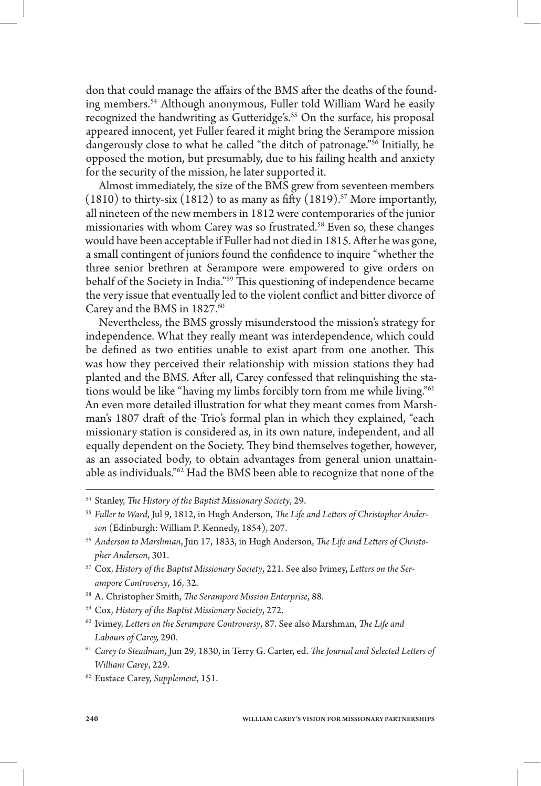don that could manage the affairs of the BMS after the deaths of the founding members.<sup>54</sup> Although anonymous, Fuller told William Ward he easily recognized the handwriting as Gutteridge's.<sup>55</sup> On the surface, his proposal appeared innocent, yet Fuller feared it might bring the Serampore mission dangerously close to what he called "the ditch of patronage."<sup>56</sup> Initially, he opposed the motion, but presumably, due to his failing health and anxiety for the security of the mission, he later supported it.

Almost immediately, the size of the BMS grew from seventeen members  $(1810)$  to thirty-six  $(1812)$  to as many as fifty  $(1819)$ .<sup>57</sup> More importantly, all nineteen of the new members in 1812 were contemporaries of the junior missionaries with whom Carey was so frustrated.<sup>58</sup> Even so, these changes would have been acceptable if Fuller had not died in 1815. After he was gone, a small contingent of juniors found the confidence to inquire "whether the three senior brethren at Serampore were empowered to give orders on behalf of the Society in India."<sup>59</sup> This questioning of independence became the very issue that eventually led to the violent conflict and bitter divorce of Carey and the BMS in 1827.<sup>60</sup>

Nevertheless, the BMS grossly misunderstood the mission's strategy for independence. What they really meant was interdependence, which could be defined as two entities unable to exist apart from one another. This was how they perceived their relationship with mission stations they had planted and the BMS. After all, Carey confessed that relinquishing the stations would be like "having my limbs forcibly torn from me while living."<sup>61</sup> An even more detailed illustration for what they meant comes from Marshman's 1807 draft of the Trio's formal plan in which they explained, "each missionary station is considered as, in its own nature, independent, and all equally dependent on the Society. They bind themselves together, however, as an associated body, to obtain advantages from general union unattainable as individuals."62 Had the BMS been able to recognize that none of the

- <sup>56</sup> Anderson to Marshman, Jun 17, 1833, in Hugh Anderson, The Life and Letters of Christo*pher Anderson*, 301.
- <sup>57</sup> Cox, *History of the Baptist Missionary Society*, 221. See also Ivimey, *Leers on the Serampore Controversy*, 16, 32.
- <sup>58</sup> A. Christopher Smith, *The Serampore Mission Enterprise*, 88.
- <sup>59</sup> Cox, *History of the Baptist Missionary Society*, 272.
- <sup>60</sup> Ivimey, Letters on the Serampore Controversy, 87. See also Marshman, *The Life and Labours of Carey,* 290*.*
- <sup>61</sup> Carey to Steadman, Jun 29, 1830, in Terry G. Carter, ed. *The Journal and Selected Letters of William Carey*, 229.
- 62 Eustace Carey, *Supplement*, 151.

<sup>&</sup>lt;sup>54</sup> Stanley, *The History of the Baptist Missionary Society*, 29.

<sup>&</sup>lt;sup>55</sup> Fuller to Ward, Jul 9, 1812, in Hugh Anderson, The Life and Letters of Christopher Ander*son* (Edinburgh: William P. Kennedy, 1854), 207.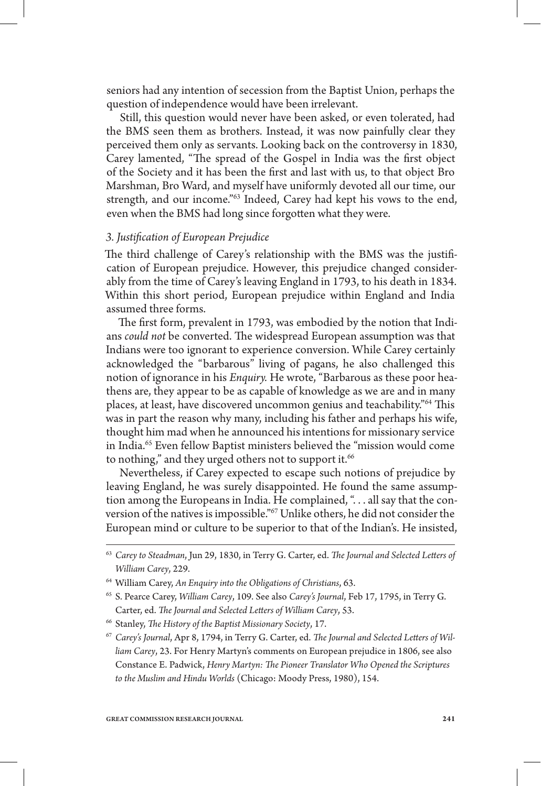seniors had any intention of secession from the Baptist Union, perhaps the question of independence would have been irrelevant.

Still, this question would never have been asked, or even tolerated, had the BMS seen them as brothers. Instead, it was now painfully clear they perceived them only as servants. Looking back on the controversy in 1830, Carey lamented, "The spread of the Gospel in India was the first object of the Society and it has been the first and last with us, to that object Bro Marshman, Bro Ward, and myself have uniformly devoted all our time, our strength, and our income."<sup>63</sup> Indeed, Carey had kept his vows to the end, even when the BMS had long since forgotten what they were.

# *3. Justication of European Prejudice*

The third challenge of Carey's relationship with the BMS was the justification of European prejudice. However, this prejudice changed considerably from the time of Carey's leaving England in 1793, to his death in 1834. Within this short period, European prejudice within England and India assumed three forms.

The first form, prevalent in 1793, was embodied by the notion that Indians *could not* be converted. The widespread European assumption was that Indians were too ignorant to experience conversion. While Carey certainly acknowledged the "barbarous" living of pagans, he also challenged this notion of ignorance in his *Enquiry.* He wrote, "Barbarous as these poor heathens are, they appear to be as capable of knowledge as we are and in many places, at least, have discovered uncommon genius and teachability.<sup>764</sup> This was in part the reason why many, including his father and perhaps his wife, thought him mad when he announced his intentions for missionary service in India.65 Even fellow Baptist ministers believed the "mission would come to nothing," and they urged others not to support it.<sup>66</sup>

Nevertheless, if Carey expected to escape such notions of prejudice by leaving England, he was surely disappointed. He found the same assumption among the Europeans in India. He complained, "... all say that the conversion of the natives is impossible."67 Unlike others, he did not consider the European mind or culture to be superior to that of the Indian's. He insisted,

<sup>&</sup>lt;sup>63</sup> Carey to Steadman, Jun 29, 1830, in Terry G. Carter, ed. *The Journal and Selected Letters of William Carey*, 229.

<sup>64</sup> William Carey, *An Enquiry into the Obligations of Christians*, 63.

<sup>65</sup> S. Pearce Carey, *William Carey*, 109. See also *Carey's Journal*, Feb 17, 1795, in Terry G. Carter, ed. *The Journal and Selected Letters of William Carey*, 53.

<sup>&</sup>lt;sup>66</sup> Stanley, *The History of the Baptist Missionary Society*, 17.

<sup>&</sup>lt;sup>67</sup> Carey's Journal, Apr 8, 1794, in Terry G. Carter, ed. The Journal and Selected Letters of Wil*liam Carey*, 23. For Henry Martyn's comments on European prejudice in 1806, see also Constance E. Padwick, *Henry Martyn: The Pioneer Translator Who Opened the Scriptures to the Muslim and Hindu Worlds* (Chicago: Moody Press, 1980), 154.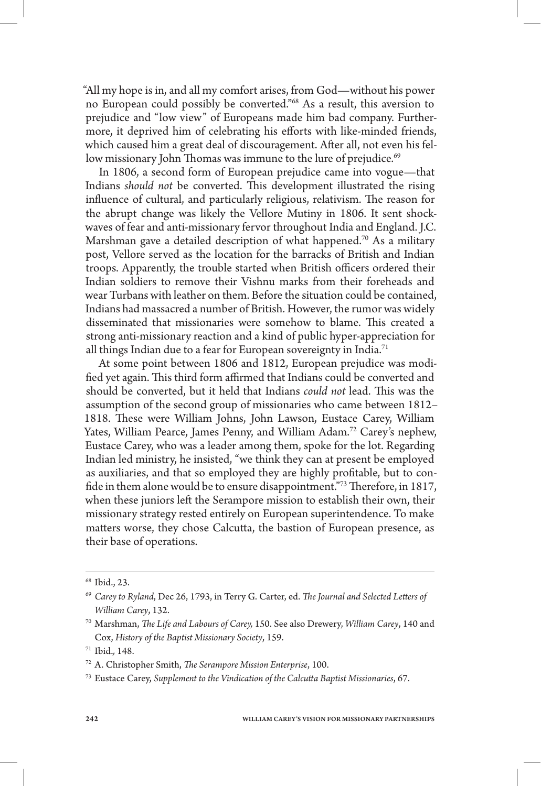"All my hope is in, and all my comfort arises, from God—without his power no European could possibly be converted."68 As a result, this aversion to prejudice and "low view" of Europeans made him bad company. Furthermore, it deprived him of celebrating his efforts with like-minded friends, which caused him a great deal of discouragement. After all, not even his fellow missionary John Thomas was immune to the lure of prejudice.<sup>69</sup>

In 1806, a second form of European prejudice came into vogue—that Indians *should not* be converted. This development illustrated the rising influence of cultural, and particularly religious, relativism. The reason for the abrupt change was likely the Vellore Mutiny in 1806. It sent shockwaves of fear and anti-missionary fervor throughout India and England. J.C. Marshman gave a detailed description of what happened.<sup>70</sup> As a military post, Vellore served as the location for the barracks of British and Indian troops. Apparently, the trouble started when British officers ordered their Indian soldiers to remove their Vishnu marks from their foreheads and wear Turbans with leather on them. Before the situation could be contained, Indians had massacred a number of British. However, the rumor was widely disseminated that missionaries were somehow to blame. This created a strong anti-missionary reaction and a kind of public hyper-appreciation for all things Indian due to a fear for European sovereignty in India.<sup>71</sup>

At some point between 1806 and 1812, European prejudice was modi fied yet again. This third form affirmed that Indians could be converted and should be converted, but it held that Indians *could not* lead. This was the assumption of the second group of missionaries who came between 1812– 1818. These were William Johns, John Lawson, Eustace Carey, William Yates, William Pearce, James Penny, and William Adam.<sup>72</sup> Carey's nephew, Eustace Carey, who was a leader among them, spoke for the lot. Regarding Indian led ministry, he insisted, "we think they can at present be employed as auxiliaries, and that so employed they are highly profitable, but to confide in them alone would be to ensure disappointment."73 Therefore, in 1817, when these juniors left the Serampore mission to establish their own, their missionary strategy rested entirely on European superintendence. To make matters worse, they chose Calcutta, the bastion of European presence, as their base of operations.

<sup>68</sup> Ibid., 23.

<sup>&</sup>lt;sup>69</sup> Carey to Ryland, Dec 26, 1793, in Terry G. Carter, ed. *The Journal and Selected Letters of William Carey*, 132.

<sup>&</sup>lt;sup>70</sup> Marshman, *The Life and Labours of Carey*, 150. See also Drewery, *William Carey*, 140 and Cox, *History of the Baptist Missionary Society*, 159.

<sup>71</sup> Ibid.*,* 148.

<sup>&</sup>lt;sup>72</sup> A. Christopher Smith, *The Serampore Mission Enterprise*, 100.

<sup>&</sup>lt;sup>73</sup> Eustace Carey, Supplement to the Vindication of the Calcutta Baptist Missionaries, 67.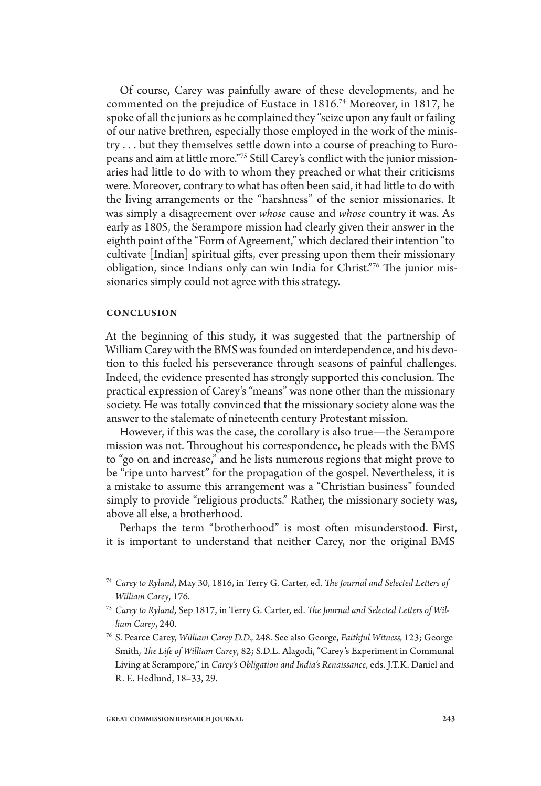Of course, Carey was painfully aware of these developments, and he commented on the prejudice of Eustace in 1816.74 Moreover, in 1817, he spoke of all the juniors as he complained they "seize upon any fault or failing of our native brethren, especially those employed in the work of the ministry ... but they themselves settle down into a course of preaching to Europeans and aim at little more."75 Still Carey's conflict with the junior missionaries had little to do with to whom they preached or what their criticisms were. Moreover, contrary to what has often been said, it had little to do with the living arrangements or the "harshness" of the senior missionaries. It was simply a disagreement over *whose* cause and *whose* country it was. As early as 1805, the Serampore mission had clearly given their answer in the eighth point of the "Form of Agreement," which declared their intention "to cultivate [Indian] spiritual gifts, ever pressing upon them their missionary obligation, since Indians only can win India for Christ."76 The junior missionaries simply could not agree with this strategy.

### **CONCLUSION**

At the beginning of this study, it was suggested that the partnership of William Carey with the BMS was founded on interdependence, and his devotion to this fueled his perseverance through seasons of painful challenges. Indeed, the evidence presented has strongly supported this conclusion. The practical expression of Carey's "means" was none other than the missionary society. He was totally convinced that the missionary society alone was the answer to the stalemate of nineteenth century Protestant mission.

However, if this was the case, the corollary is also true—the Serampore mission was not. Throughout his correspondence, he pleads with the BMS to "go on and increase," and he lists numerous regions that might prove to be "ripe unto harvest" for the propagation of the gospel. Nevertheless, it is a mistake to assume this arrangement was a "Christian business" founded simply to provide "religious products." Rather, the missionary society was, above all else, a brotherhood.

Perhaps the term "brotherhood" is most often misunderstood. First, it is important to understand that neither Carey, nor the original BMS

<sup>&</sup>lt;sup>74</sup> Carey to Ryland, May 30, 1816, in Terry G. Carter, ed. *The Journal and Selected Letters of William Carey*, 176.

<sup>&</sup>lt;sup>75</sup> Carey to Ryland, Sep 1817, in Terry G. Carter, ed. The Journal and Selected Letters of Wil*liam Carey*, 240.

<sup>76</sup> S. Pearce Carey, *William Carey D.D.,* 248. See also George, *Faithful Witness,* 123; George Smith, *The Life of William Carey*, 82; S.D.L. Alagodi, "Carey's Experiment in Communal Living at Serampore," in *Carey's Obligation and India's Renaissance*, eds. J.T.K. Daniel and R. E. Hedlund, 18–33, 29.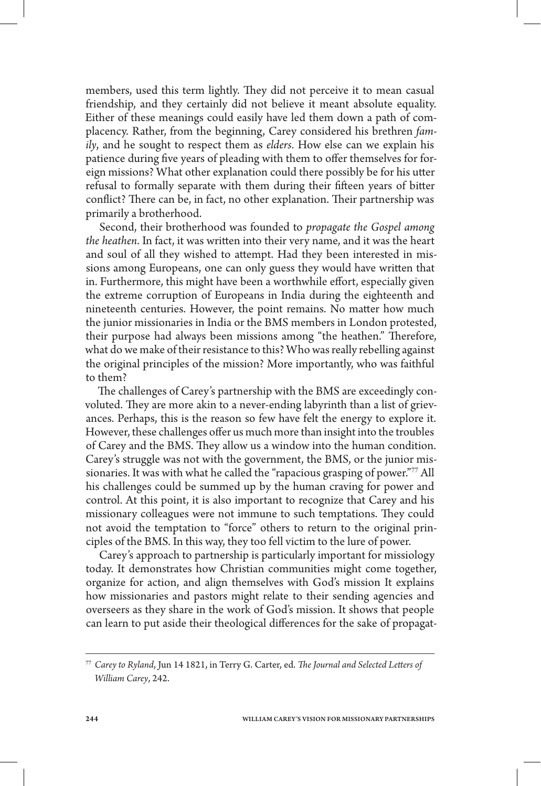members, used this term lightly. They did not perceive it to mean casual friendship, and they certainly did not believe it meant absolute equality. Either of these meanings could easily have led them down a path of complacency. Rather, from the beginning, Carey considered his brethren *family*, and he sought to respect them as *elders*. How else can we explain his patience during five years of pleading with them to offer themselves for foreign missions? What other explanation could there possibly be for his utter refusal to formally separate with them during their fifteen years of bitter conflict? There can be, in fact, no other explanation. Their partnership was primarily a brotherhood.

Second, their brotherhood was founded to *propagate the Gospel among the heathen*. In fact, it was written into their very name, and it was the heart and soul of all they wished to attempt. Had they been interested in missions among Europeans, one can only guess they would have written that in. Furthermore, this might have been a worthwhile effort, especially given the extreme corruption of Europeans in India during the eighteenth and nineteenth centuries. However, the point remains. No matter how much the junior missionaries in India or the BMS members in London protested, their purpose had always been missions among "the heathen." Therefore, what do we make of their resistance to this? Who was really rebelling against the original principles of the mission? More importantly, who was faithful to them?

The challenges of Carey's partnership with the BMS are exceedingly convoluted. They are more akin to a never-ending labyrinth than a list of grievances. Perhaps, this is the reason so few have felt the energy to explore it. However, these challenges offer us much more than insight into the troubles of Carey and the BMS. They allow us a window into the human condition. Carey's struggle was not with the government, the BMS, or the junior missionaries. It was with what he called the "rapacious grasping of power."77 All his challenges could be summed up by the human craving for power and control. At this point, it is also important to recognize that Carey and his missionary colleagues were not immune to such temptations. They could not avoid the temptation to "force" others to return to the original principles of the BMS. In this way, they too fell victim to the lure of power.

Carey's approach to partnership is particularly important for missiology today. It demonstrates how Christian communities might come together, organize for action, and align themselves with God's mission It explains how missionaries and pastors might relate to their sending agencies and overseers as they share in the work of God's mission. It shows that people can learn to put aside their theological differences for the sake of propagat-

<sup>&</sup>lt;sup>77</sup> Carey to Ryland, Jun 14 1821, in Terry G. Carter, ed. *The Journal and Selected Letters of William Carey*, 242.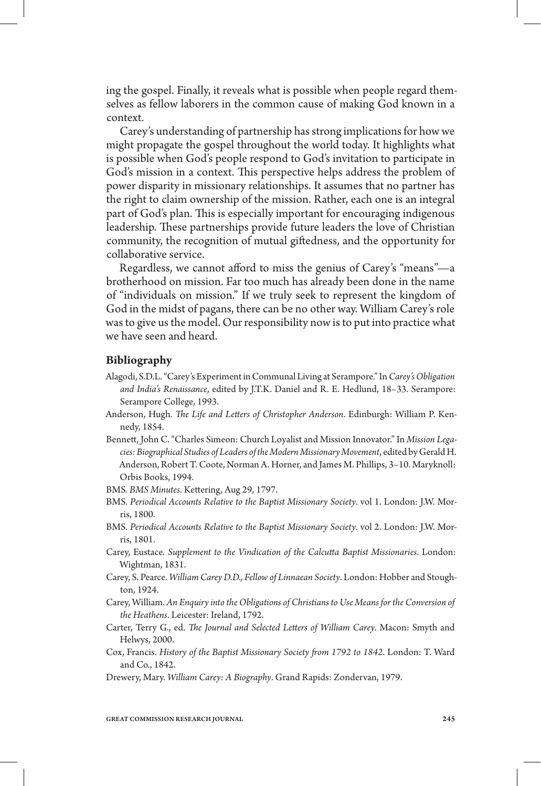ing the gospel. Finally, it reveals what is possible when people regard themselves as fellow laborers in the common cause of making God known in a context.

Carey's understanding of partnership has strong implications for how we might propagate the gospel throughout the world today. It highlights what is possible when God's people respond to God's invitation to participate in God's mission in a context. This perspective helps address the problem of power disparity in missionary relationships. It assumes that no partner has the right to claim ownership of the mission. Rather, each one is an integral part of God's plan. This is especially important for encouraging indigenous leadership. These partnerships provide future leaders the love of Christian community, the recognition of mutual giedness, and the opportunity for collaborative service.

Regardless, we cannot afford to miss the genius of Carey's "means"—a brotherhood on mission. Far too much has already been done in the name of "individuals on mission." If we truly seek to represent the kingdom of God in the midst of pagans, there can be no other way. William Carey's role was to give us the model. Our responsibility now is to put into practice what we have seen and heard.

# **Bibliography**

- Alagodi, S.D.L. "Carey's Experiment in Communal Living at Serampore." In *Carey's Obligation and India's Renaissance*, edited by J.T.K. Daniel and R. E. Hedlund, 18–33. Serampore: Serampore College, 1993.
- Anderson, Hugh. *The Life and Letters of Christopher Anderson*. Edinburgh: William P. Kennedy, 1854.
- Bennett, John C. "Charles Simeon: Church Loyalist and Mission Innovator." In *Mission Legacies: Biographical Studies of Leaders of the Modern Missionary Movement*, edited by Gerald H. Anderson, Robert T. Coote, Norman A. Horner, and James M. Phillips, 3–10. Maryknoll: Orbis Books, 1994.
- BMS. BMS Minutes. Kettering, Aug 29, 1797.
- BMS. *Periodical Accounts Relative to the Baptist Missionary Society*. vol 1. London: J.W. Morris, 1800.
- BMS. *Periodical Accounts Relative to the Baptist Missionary Society*. vol 2. London: J.W. Morris, 1801.
- Carey, Eustace. *Supplement to the Vindication of the Calcutta Baptist Missionaries*. London: Wightman, 1831.
- Carey, S. Pearce. *William Carey D.D., Fellow of Linnaean Society*. London: Hobber and Stoughton, 1924.
- Carey, William. *An Enquiry into the Obligations of Christians to Use Means for the Conversion of the Heathens*. Leicester: Ireland, 1792.
- Carter, Terry G., ed. *The Journal and Selected Letters of William Carey*. Macon: Smyth and Helwys, 2000.
- Cox, Francis. *History of the Baptist Missionary Society from 1792 to 1842*. London: T. Ward and Co., 1842.
- Drewery, Mary. *William Carey: A Biography*. Grand Rapids: Zondervan, 1979.